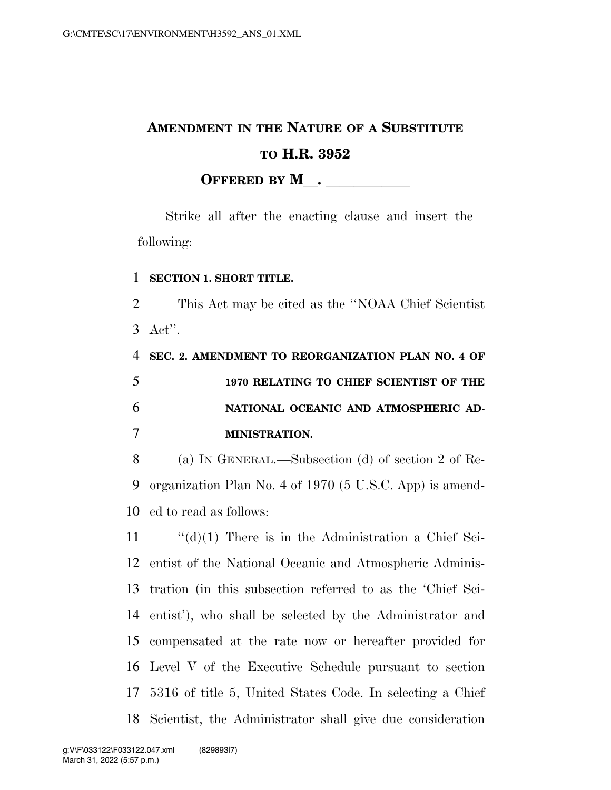## **AMENDMENT IN THE NATURE OF A SUBSTITUTE TO H.R. 3952 OFFERED BY M**.

Strike all after the enacting clause and insert the following:

## **SECTION 1. SHORT TITLE.**

 This Act may be cited as the ''NOAA Chief Scientist Act''.

 **SEC. 2. AMENDMENT TO REORGANIZATION PLAN NO. 4 OF 1970 RELATING TO CHIEF SCIENTIST OF THE NATIONAL OCEANIC AND ATMOSPHERIC AD-MINISTRATION.** 

 (a) IN GENERAL.—Subsection (d) of section 2 of Re- organization Plan No. 4 of 1970 (5 U.S.C. App) is amend-ed to read as follows:

 $\frac{1}{\text{d}}$  (d)(1) There is in the Administration a Chief Sci- entist of the National Oceanic and Atmospheric Adminis- tration (in this subsection referred to as the 'Chief Sci- entist'), who shall be selected by the Administrator and compensated at the rate now or hereafter provided for Level V of the Executive Schedule pursuant to section 5316 of title 5, United States Code. In selecting a Chief Scientist, the Administrator shall give due consideration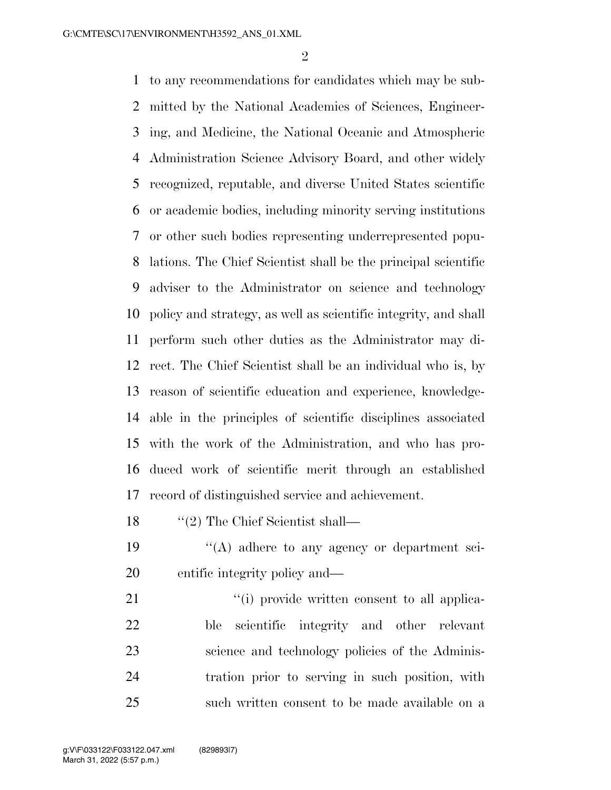to any recommendations for candidates which may be sub- mitted by the National Academies of Sciences, Engineer- ing, and Medicine, the National Oceanic and Atmospheric Administration Science Advisory Board, and other widely recognized, reputable, and diverse United States scientific or academic bodies, including minority serving institutions or other such bodies representing underrepresented popu- lations. The Chief Scientist shall be the principal scientific adviser to the Administrator on science and technology policy and strategy, as well as scientific integrity, and shall perform such other duties as the Administrator may di- rect. The Chief Scientist shall be an individual who is, by reason of scientific education and experience, knowledge- able in the principles of scientific disciplines associated with the work of the Administration, and who has pro- duced work of scientific merit through an established record of distinguished service and achievement.

''(2) The Chief Scientist shall—

19  $\langle (A)$  adhere to any agency or department sci-entific integrity policy and—

 $\cdot$  (i) provide written consent to all applica- ble scientific integrity and other relevant science and technology policies of the Adminis- tration prior to serving in such position, with such written consent to be made available on a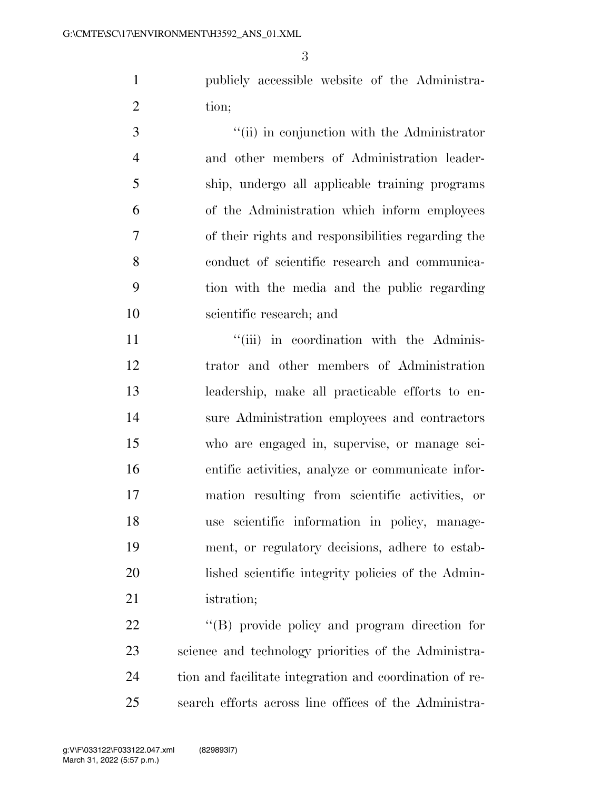publicly accessible website of the Administra-2 tion;

 ''(ii) in conjunction with the Administrator and other members of Administration leader- ship, undergo all applicable training programs of the Administration which inform employees of their rights and responsibilities regarding the conduct of scientific research and communica- tion with the media and the public regarding scientific research; and

 $\frac{1}{\sin}$  in coordination with the Adminis- trator and other members of Administration leadership, make all practicable efforts to en- sure Administration employees and contractors who are engaged in, supervise, or manage sci- entific activities, analyze or communicate infor- mation resulting from scientific activities, or use scientific information in policy, manage- ment, or regulatory decisions, adhere to estab- lished scientific integrity policies of the Admin-istration;

 $\langle$  (B) provide policy and program direction for science and technology priorities of the Administra- tion and facilitate integration and coordination of re-search efforts across line offices of the Administra-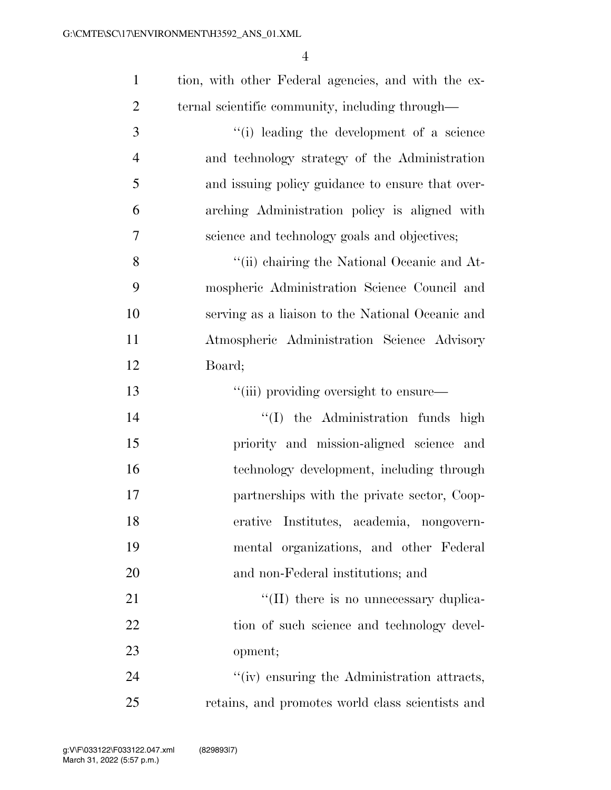tion, with other Federal agencies, and with the ex- ternal scientific community, including through— 3 ''(i) leading the development of a science and technology strategy of the Administration and issuing policy guidance to ensure that over- arching Administration policy is aligned with science and technology goals and objectives; ''(ii) chairing the National Oceanic and At- mospheric Administration Science Council and serving as a liaison to the National Oceanic and Atmospheric Administration Science Advisory Board;  $\frac{1}{2}$   $\frac{1}{2}$   $\frac{1}{2}$  iii) providing oversight to ensure—  $\frac{1}{2}$  the Administration funds high priority and mission-aligned science and technology development, including through partnerships with the private sector, Coop- erative Institutes, academia, nongovern- mental organizations, and other Federal and non-Federal institutions; and  $\text{``(II)}$  there is no unnecessary duplica-22 tion of such science and technology devel- opment;  $''(iv)$  ensuring the Administration attracts, retains, and promotes world class scientists and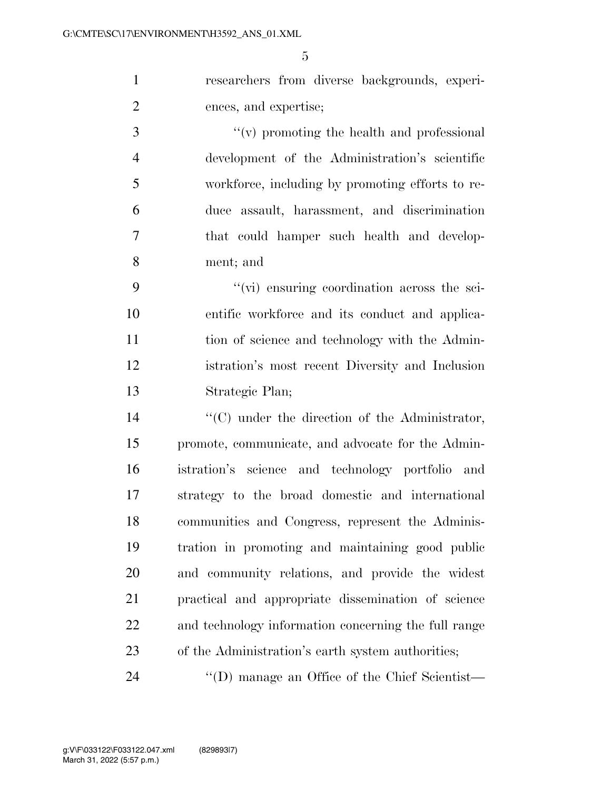researchers from diverse backgrounds, experi-ences, and expertise;

 ''(v) promoting the health and professional development of the Administration's scientific workforce, including by promoting efforts to re- duce assault, harassment, and discrimination that could hamper such health and develop-ment; and

 ''(vi) ensuring coordination across the sci- entific workforce and its conduct and applica- tion of science and technology with the Admin- istration's most recent Diversity and Inclusion Strategic Plan;

 $\langle ^{\prime}(C) \rangle$  under the direction of the Administrator, promote, communicate, and advocate for the Admin- istration's science and technology portfolio and strategy to the broad domestic and international communities and Congress, represent the Adminis- tration in promoting and maintaining good public and community relations, and provide the widest practical and appropriate dissemination of science and technology information concerning the full range of the Administration's earth system authorities;

24  $\langle\text{`(D)}\rangle$  manage an Office of the Chief Scientist—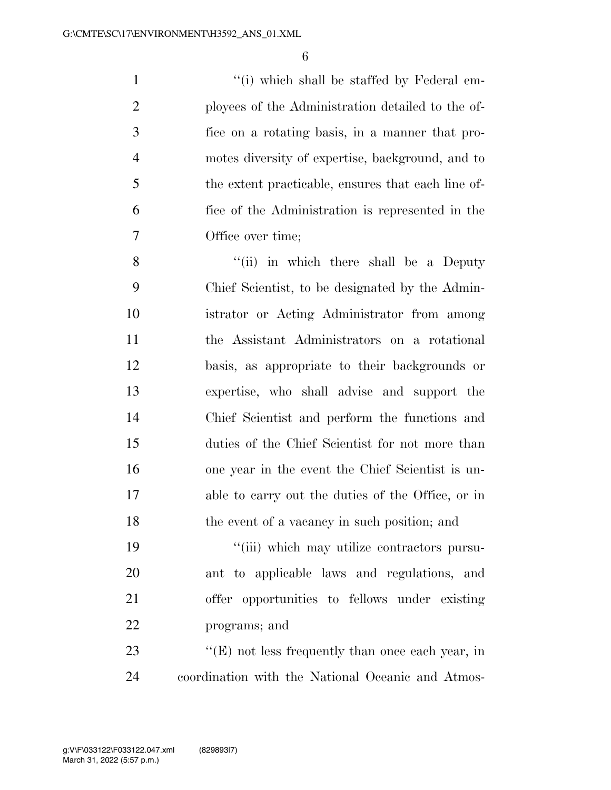1 ''(i) which shall be staffed by Federal em- ployees of the Administration detailed to the of- fice on a rotating basis, in a manner that pro- motes diversity of expertise, background, and to the extent practicable, ensures that each line of- fice of the Administration is represented in the Office over time;

8 ''(ii) in which there shall be a Deputy Chief Scientist, to be designated by the Admin- istrator or Acting Administrator from among the Assistant Administrators on a rotational basis, as appropriate to their backgrounds or expertise, who shall advise and support the Chief Scientist and perform the functions and duties of the Chief Scientist for not more than one year in the event the Chief Scientist is un- able to carry out the duties of the Office, or in 18 the event of a vacancy in such position; and

 $\frac{1}{2}$  ''(iii) which may utilize contractors pursu- ant to applicable laws and regulations, and offer opportunities to fellows under existing programs; and

23 ''(E) not less frequently than once each year, in coordination with the National Oceanic and Atmos-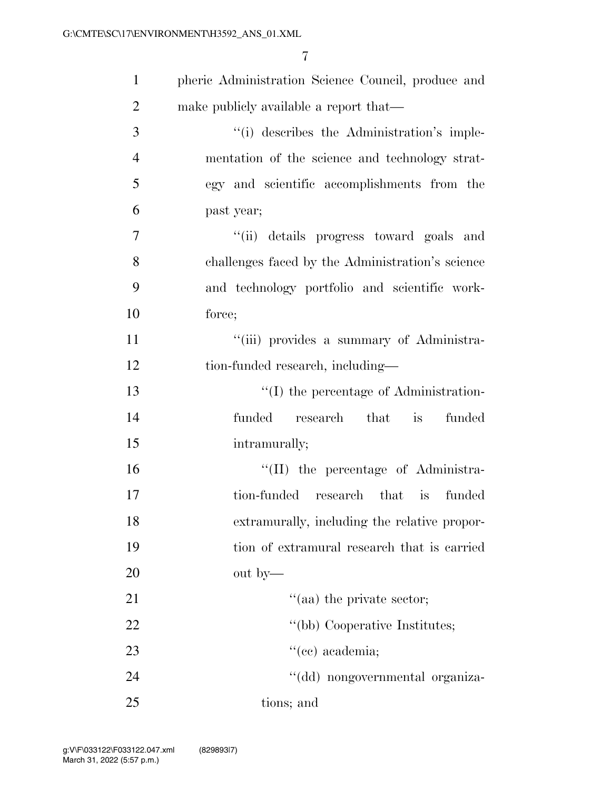| $\mathbf{1}$   | pheric Administration Science Council, produce and |
|----------------|----------------------------------------------------|
| $\overline{2}$ | make publicly available a report that—             |
| 3              | "(i) describes the Administration's imple-         |
| $\overline{4}$ | mentation of the science and technology strat-     |
| 5              | egy and scientific accomplishments from the        |
| 6              | past year;                                         |
| $\tau$         | "(ii) details progress toward goals and            |
| 8              | challenges faced by the Administration's science   |
| 9              | and technology portfolio and scientific work-      |
| 10             | force;                                             |
| 11             | "(iii) provides a summary of Administra-           |
| 12             | tion-funded research, including—                   |
| 13             | $\lq\lq$ the percentage of Administration-         |
| 14             | funded research that is<br>funded                  |
| 15             | intramurally;                                      |
| 16             | "(II) the percentage of Administra-                |
| 17             | tion-funded research that is<br>funded             |
| 18             | extramurally, including the relative propor-       |
| 19             | tion of extramural research that is carried        |
| 20             | out by—                                            |
| 21             | $\lq\lq$ (aa) the private sector;                  |
| 22             | "(bb) Cooperative Institutes;                      |
| 23             | "(cc) academia;                                    |
| 24             | "(dd) nongovernmental organiza-                    |
| 25             | tions; and                                         |